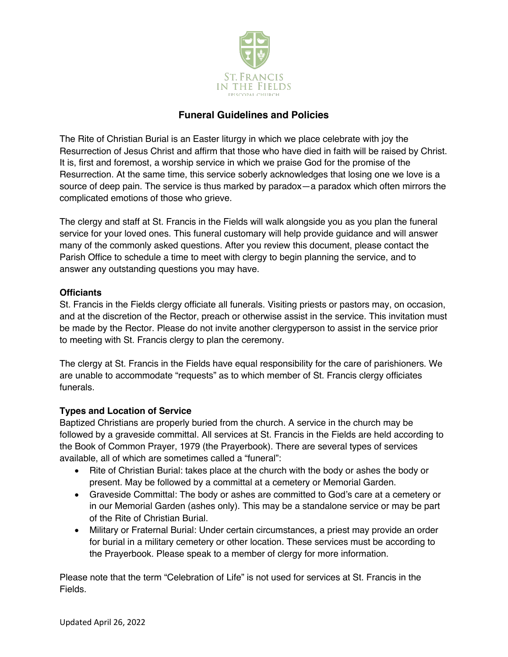

# **Funeral Guidelines and Policies**

The Rite of Christian Burial is an Easter liturgy in which we place celebrate with joy the Resurrection of Jesus Christ and affirm that those who have died in faith will be raised by Christ. It is, first and foremost, a worship service in which we praise God for the promise of the Resurrection. At the same time, this service soberly acknowledges that losing one we love is a source of deep pain. The service is thus marked by paradox—a paradox which often mirrors the complicated emotions of those who grieve.

The clergy and staff at St. Francis in the Fields will walk alongside you as you plan the funeral service for your loved ones. This funeral customary will help provide guidance and will answer many of the commonly asked questions. After you review this document, please contact the Parish Office to schedule a time to meet with clergy to begin planning the service, and to answer any outstanding questions you may have.

## **Officiants**

St. Francis in the Fields clergy officiate all funerals. Visiting priests or pastors may, on occasion, and at the discretion of the Rector, preach or otherwise assist in the service. This invitation must be made by the Rector. Please do not invite another clergyperson to assist in the service prior to meeting with St. Francis clergy to plan the ceremony.

The clergy at St. Francis in the Fields have equal responsibility for the care of parishioners. We are unable to accommodate "requests" as to which member of St. Francis clergy officiates funerals.

## **Types and Location of Service**

Baptized Christians are properly buried from the church. A service in the church may be followed by a graveside committal. All services at St. Francis in the Fields are held according to the Book of Common Prayer, 1979 (the Prayerbook). There are several types of services available, all of which are sometimes called a "funeral":

- Rite of Christian Burial: takes place at the church with the body or ashes the body or present. May be followed by a committal at a cemetery or Memorial Garden.
- Graveside Committal: The body or ashes are committed to God's care at a cemetery or in our Memorial Garden (ashes only). This may be a standalone service or may be part of the Rite of Christian Burial.
- Military or Fraternal Burial: Under certain circumstances, a priest may provide an order for burial in a military cemetery or other location. These services must be according to the Prayerbook. Please speak to a member of clergy for more information.

Please note that the term "Celebration of Life" is not used for services at St. Francis in the Fields.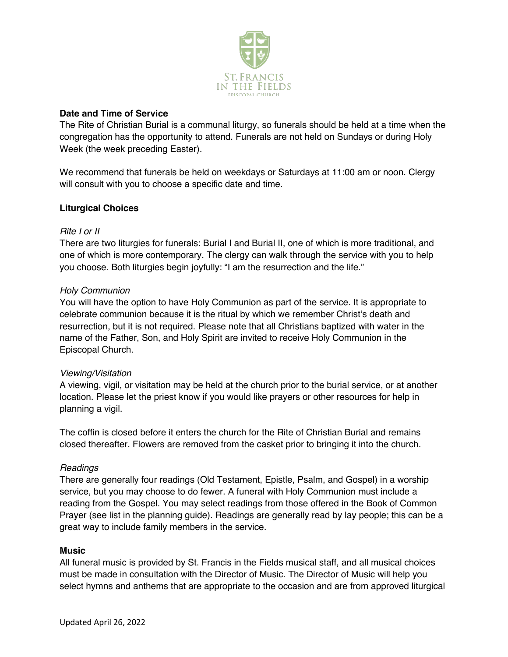

## **Date and Time of Service**

The Rite of Christian Burial is a communal liturgy, so funerals should be held at a time when the congregation has the opportunity to attend. Funerals are not held on Sundays or during Holy Week (the week preceding Easter).

We recommend that funerals be held on weekdays or Saturdays at 11:00 am or noon. Clergy will consult with you to choose a specific date and time.

## **Liturgical Choices**

## *Rite I or II*

There are two liturgies for funerals: Burial I and Burial II, one of which is more traditional, and one of which is more contemporary. The clergy can walk through the service with you to help you choose. Both liturgies begin joyfully: "I am the resurrection and the life."

## *Holy Communion*

You will have the option to have Holy Communion as part of the service. It is appropriate to celebrate communion because it is the ritual by which we remember Christ's death and resurrection, but it is not required. Please note that all Christians baptized with water in the name of the Father, Son, and Holy Spirit are invited to receive Holy Communion in the Episcopal Church.

#### *Viewing/Visitation*

A viewing, vigil, or visitation may be held at the church prior to the burial service, or at another location. Please let the priest know if you would like prayers or other resources for help in planning a vigil.

The coffin is closed before it enters the church for the Rite of Christian Burial and remains closed thereafter. Flowers are removed from the casket prior to bringing it into the church.

#### *Readings*

There are generally four readings (Old Testament, Epistle, Psalm, and Gospel) in a worship service, but you may choose to do fewer. A funeral with Holy Communion must include a reading from the Gospel. You may select readings from those offered in the Book of Common Prayer (see list in the planning guide). Readings are generally read by lay people; this can be a great way to include family members in the service.

#### **Music**

All funeral music is provided by St. Francis in the Fields musical staff, and all musical choices must be made in consultation with the Director of Music. The Director of Music will help you select hymns and anthems that are appropriate to the occasion and are from approved liturgical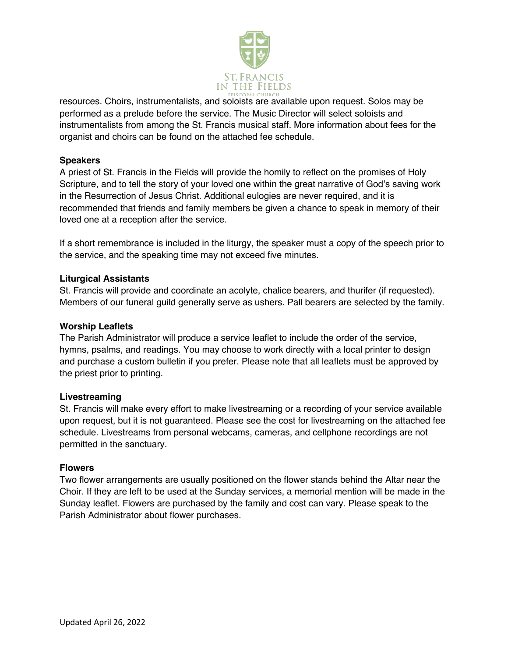

resources. Choirs, instrumentalists, and soloists are available upon request. Solos may be performed as a prelude before the service. The Music Director will select soloists and instrumentalists from among the St. Francis musical staff. More information about fees for the organist and choirs can be found on the attached fee schedule.

## **Speakers**

A priest of St. Francis in the Fields will provide the homily to reflect on the promises of Holy Scripture, and to tell the story of your loved one within the great narrative of God's saving work in the Resurrection of Jesus Christ. Additional eulogies are never required, and it is recommended that friends and family members be given a chance to speak in memory of their loved one at a reception after the service.

If a short remembrance is included in the liturgy, the speaker must a copy of the speech prior to the service, and the speaking time may not exceed five minutes.

## **Liturgical Assistants**

St. Francis will provide and coordinate an acolyte, chalice bearers, and thurifer (if requested). Members of our funeral guild generally serve as ushers. Pall bearers are selected by the family.

#### **Worship Leaflets**

The Parish Administrator will produce a service leaflet to include the order of the service, hymns, psalms, and readings. You may choose to work directly with a local printer to design and purchase a custom bulletin if you prefer. Please note that all leaflets must be approved by the priest prior to printing.

#### **Livestreaming**

St. Francis will make every effort to make livestreaming or a recording of your service available upon request, but it is not guaranteed. Please see the cost for livestreaming on the attached fee schedule. Livestreams from personal webcams, cameras, and cellphone recordings are not permitted in the sanctuary.

#### **Flowers**

Two flower arrangements are usually positioned on the flower stands behind the Altar near the Choir. If they are left to be used at the Sunday services, a memorial mention will be made in the Sunday leaflet. Flowers are purchased by the family and cost can vary. Please speak to the Parish Administrator about flower purchases.